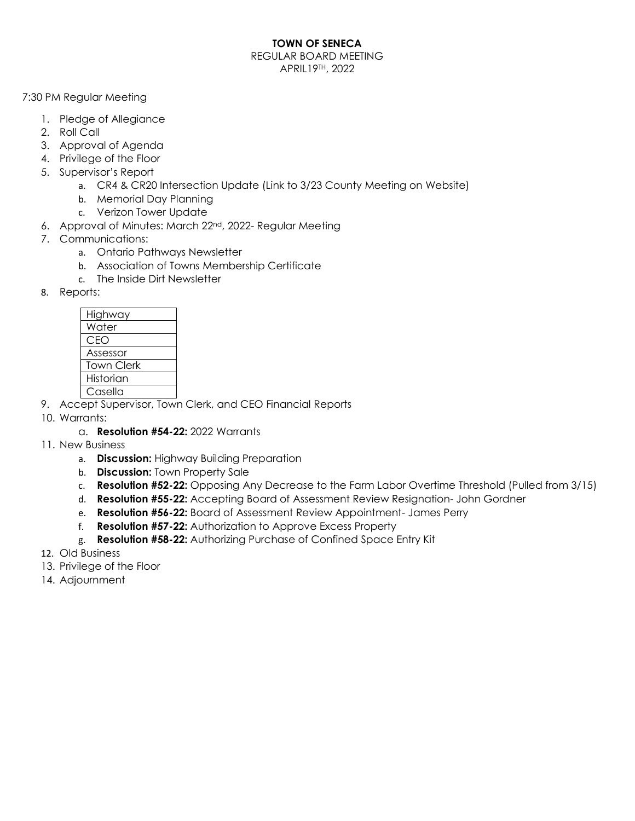## **TOWN OF SENECA**

REGULAR BOARD MEETING APRIL19TH, 2022

7:30 PM Regular Meeting

- 1. Pledge of Allegiance
- 2. Roll Call
- 3. Approval of Agenda
- 4. Privilege of the Floor
- 5. Supervisor's Report
	- a. CR4 & CR20 Intersection Update (Link to 3/23 County Meeting on Website)
	- b. Memorial Day Planning
	- c. Verizon Tower Update
- 6. Approval of Minutes: March 22nd, 2022- Regular Meeting
- 7. Communications:
	- a. Ontario Pathways Newsletter
	- b. Association of Towns Membership Certificate
	- c. The Inside Dirt Newsletter
- 8. Reports:

| Highway    |
|------------|
| Water      |
| CEO        |
| Assessor   |
| Town Clerk |
| Historian  |
| Casella    |

- 9. Accept Supervisor, Town Clerk, and CEO Financial Reports
- 10. Warrants:
	- a. **Resolution #54-22:** 2022 Warrants
- 11. New Business
	- a. **Discussion:** Highway Building Preparation
	- b. **Discussion:** Town Property Sale
	- c. **Resolution #52-22:** Opposing Any Decrease to the Farm Labor Overtime Threshold (Pulled from 3/15)
	- d. **Resolution #55-22:** Accepting Board of Assessment Review Resignation- John Gordner
	- e. **Resolution #56-22:** Board of Assessment Review Appointment- James Perry
	- f. **Resolution #57-22:** Authorization to Approve Excess Property
	- g. **Resolution #58-22:** Authorizing Purchase of Confined Space Entry Kit
- 12. Old Business
- 13. Privilege of the Floor
- 14. Adjournment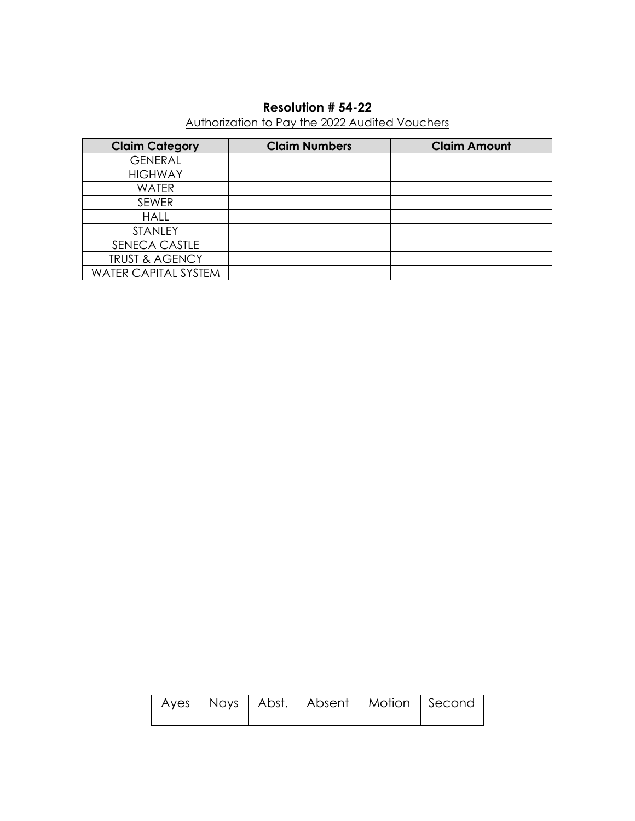# **Resolution # 54-22**

# Authorization to Pay the 2022 Audited Vouchers

| <b>Claim Category</b>       | <b>Claim Numbers</b> | <b>Claim Amount</b> |
|-----------------------------|----------------------|---------------------|
| <b>GENERAL</b>              |                      |                     |
| <b>HIGHWAY</b>              |                      |                     |
| <b>WATER</b>                |                      |                     |
| <b>SEWER</b>                |                      |                     |
| <b>HALL</b>                 |                      |                     |
| STANLEY                     |                      |                     |
| SENECA CASTLE               |                      |                     |
| <b>TRUST &amp; AGENCY</b>   |                      |                     |
| <b>WATER CAPITAL SYSTEM</b> |                      |                     |

|  | Ayes   Nays   Abst.   Absent   Motion   Second |  |
|--|------------------------------------------------|--|
|  |                                                |  |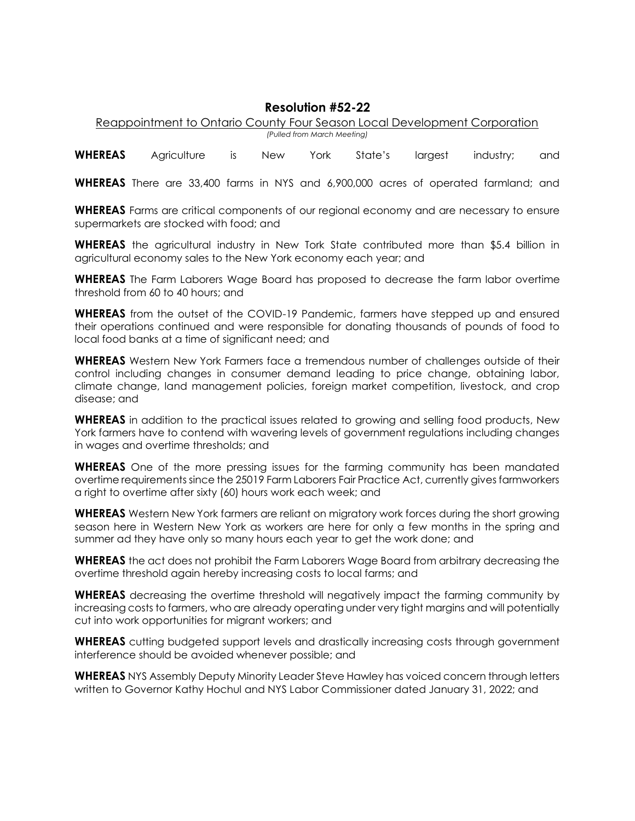#### **Resolution #52-22**

Reappointment to Ontario County Four Season Local Development Corporation *(Pulled from March Meeting)*

**WHEREAS** Agriculture is New York State's largest industry; and

**WHEREAS** There are 33,400 farms in NYS and 6,900,000 acres of operated farmland; and

**WHEREAS** Farms are critical components of our regional economy and are necessary to ensure supermarkets are stocked with food; and

**WHEREAS** the agricultural industry in New Tork State contributed more than \$5.4 billion in agricultural economy sales to the New York economy each year; and

**WHEREAS** The Farm Laborers Wage Board has proposed to decrease the farm labor overtime threshold from 60 to 40 hours; and

**WHEREAS** from the outset of the COVID-19 Pandemic, farmers have stepped up and ensured their operations continued and were responsible for donating thousands of pounds of food to local food banks at a time of significant need; and

**WHEREAS** Western New York Farmers face a tremendous number of challenges outside of their control including changes in consumer demand leading to price change, obtaining labor, climate change, land management policies, foreign market competition, livestock, and crop disease; and

**WHEREAS** in addition to the practical issues related to growing and selling food products, New York farmers have to contend with wavering levels of government regulations including changes in wages and overtime thresholds; and

**WHEREAS** One of the more pressing issues for the farming community has been mandated overtime requirements since the 25019 Farm Laborers Fair Practice Act, currently gives farmworkers a right to overtime after sixty (60) hours work each week; and

**WHEREAS** Western New York farmers are reliant on migratory work forces during the short growing season here in Western New York as workers are here for only a few months in the spring and summer ad they have only so many hours each year to get the work done; and

**WHEREAS** the act does not prohibit the Farm Laborers Wage Board from arbitrary decreasing the overtime threshold again hereby increasing costs to local farms; and

**WHEREAS** decreasing the overtime threshold will negatively impact the farming community by increasing costs to farmers, who are already operating under very tight margins and will potentially cut into work opportunities for migrant workers; and

**WHEREAS** cutting budgeted support levels and drastically increasing costs through government interference should be avoided whenever possible; and

**WHEREAS** NYS Assembly Deputy Minority Leader Steve Hawley has voiced concern through letters written to Governor Kathy Hochul and NYS Labor Commissioner dated January 31, 2022; and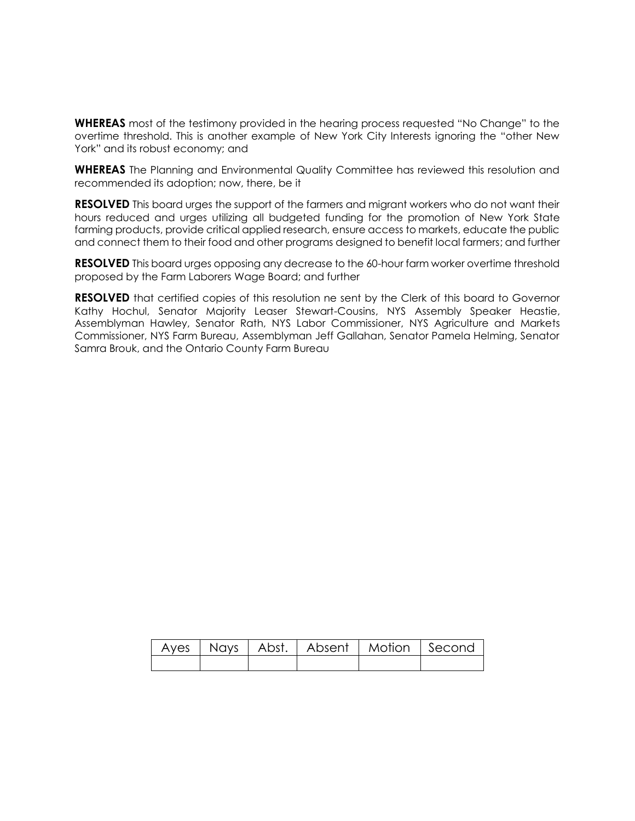**WHEREAS** most of the testimony provided in the hearing process requested "No Change" to the overtime threshold. This is another example of New York City Interests ignoring the "other New York" and its robust economy; and

**WHEREAS** The Planning and Environmental Quality Committee has reviewed this resolution and recommended its adoption; now, there, be it

**RESOLVED** This board urges the support of the farmers and migrant workers who do not want their hours reduced and urges utilizing all budgeted funding for the promotion of New York State farming products, provide critical applied research, ensure access to markets, educate the public and connect them to their food and other programs designed to benefit local farmers; and further

**RESOLVED** This board urges opposing any decrease to the 60-hour farm worker overtime threshold proposed by the Farm Laborers Wage Board; and further

**RESOLVED** that certified copies of this resolution ne sent by the Clerk of this board to Governor Kathy Hochul, Senator Majority Leaser Stewart-Cousins, NYS Assembly Speaker Heastie, Assemblyman Hawley, Senator Rath, NYS Labor Commissioner, NYS Agriculture and Markets Commissioner, NYS Farm Bureau, Assemblyman Jeff Gallahan, Senator Pamela Helming, Senator Samra Brouk, and the Ontario County Farm Bureau

|  | Ayes   Nays   Abst.   Absent   Motion   Second |  |
|--|------------------------------------------------|--|
|  |                                                |  |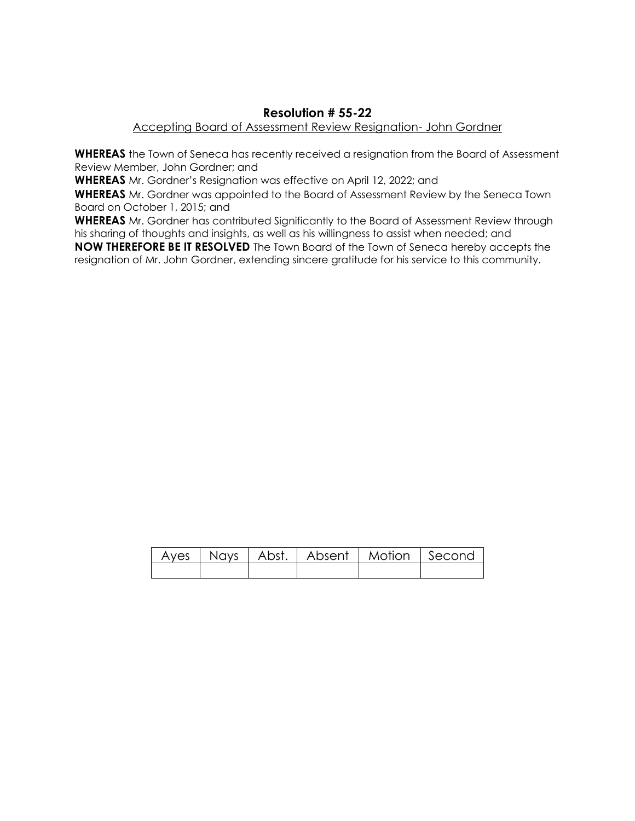## **Resolution # 55-22**

#### Accepting Board of Assessment Review Resignation- John Gordner

**WHEREAS** the Town of Seneca has recently received a resignation from the Board of Assessment Review Member, John Gordner; and

**WHEREAS** Mr. Gordner's Resignation was effective on April 12, 2022; and

**WHEREAS** Mr. Gordner was appointed to the Board of Assessment Review by the Seneca Town Board on October 1, 2015; and

**WHEREAS** Mr. Gordner has contributed Significantly to the Board of Assessment Review through his sharing of thoughts and insights, as well as his willingness to assist when needed; and **NOW THEREFORE BE IT RESOLVED** The Town Board of the Town of Seneca hereby accepts the resignation of Mr. John Gordner, extending sincere gratitude for his service to this community.

|  |  | Ayes   Nays   Abst.   Absent   Motion   Second |
|--|--|------------------------------------------------|
|  |  |                                                |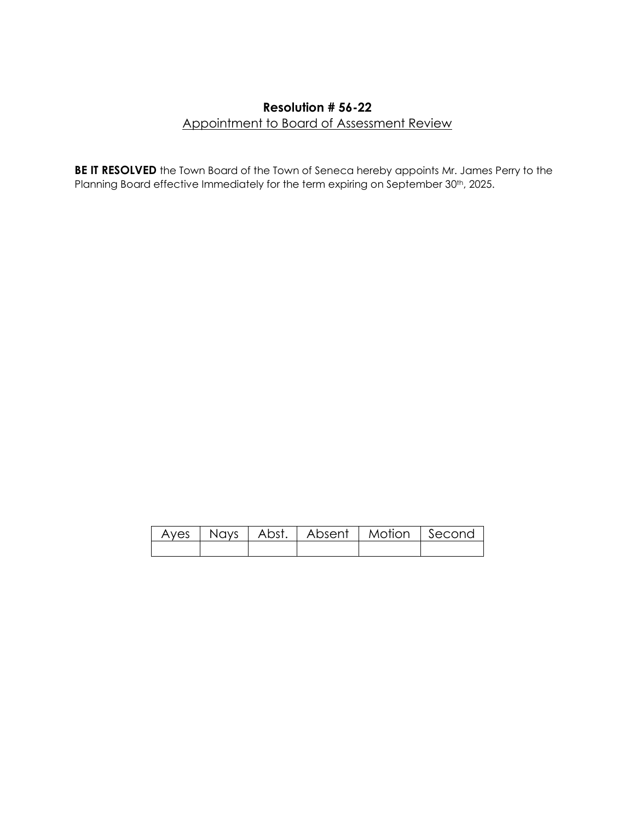## **Resolution # 56-22** Appointment to Board of Assessment Review

**BE IT RESOLVED** the Town Board of the Town of Seneca hereby appoints Mr. James Perry to the Planning Board effective Immediately for the term expiring on September 30<sup>th</sup>, 2025.

|  |  | Ayes   Nays   Abst.   Absent   Motion   Second |  |
|--|--|------------------------------------------------|--|
|  |  |                                                |  |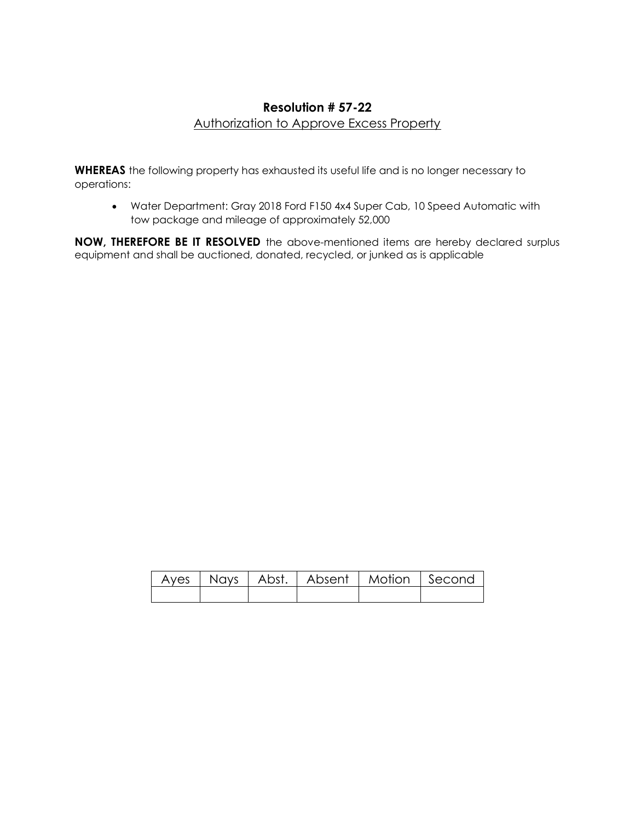## **Resolution # 57-22** Authorization to Approve Excess Property

**WHEREAS** the following property has exhausted its useful life and is no longer necessary to operations:

• Water Department: Gray 2018 Ford F150 4x4 Super Cab, 10 Speed Automatic with tow package and mileage of approximately 52,000

**NOW, THEREFORE BE IT RESOLVED** the above-mentioned items are hereby declared surplus equipment and shall be auctioned, donated, recycled, or junked as is applicable

|  | Ayes   Nays   Abst.   Absent   Motion   Second |  |
|--|------------------------------------------------|--|
|  |                                                |  |